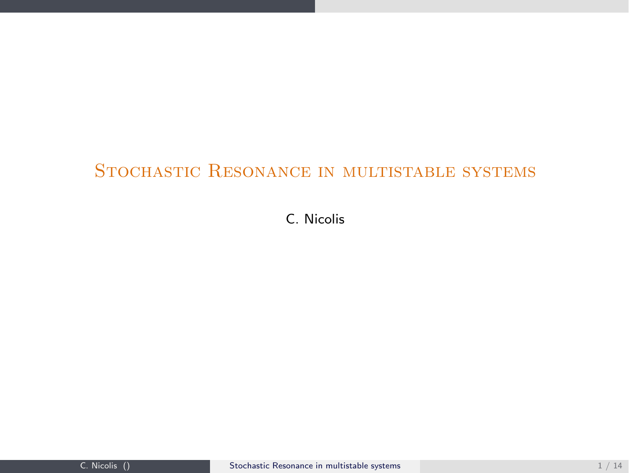# STOCHASTIC RESONANCE IN MULTISTABLE SYSTEMS

<span id="page-0-0"></span>C. Nicolis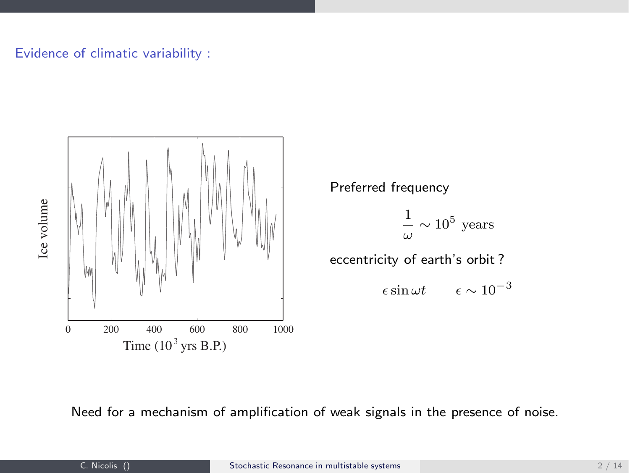## Evidence of climatic variability :



Preferred frequency

$$
\frac{1}{\omega} \sim 10^5 \text{ years}
$$

eccentricity of earth's orbit ?

 $\epsilon \sin \omega t \qquad \epsilon \sim 10^{-3}$ 

Need for a mechanism of amplification of weak signals in the presence of noise.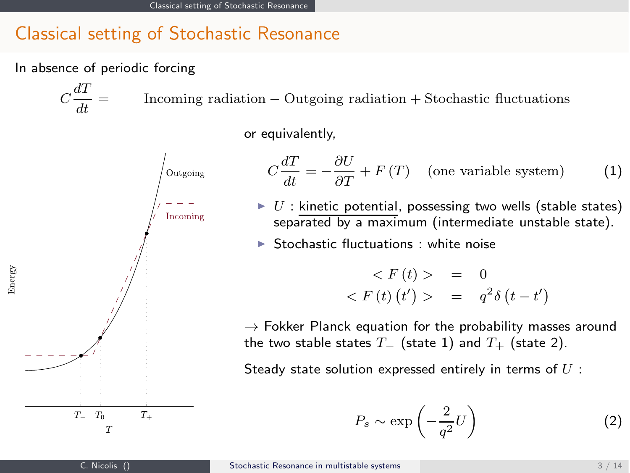# Classical setting of Stochastic Resonance

In absence of periodic forcing

 $C\frac{dT}{U} =$  $\label{eq:1} \text{Incoming radiation} - \text{Outgoing radiation} + \text{Stochastic fluctuations}$ 

or equivalently,



$$
C\frac{dT}{dt} = -\frac{\partial U}{\partial T} + F(T)
$$
 (one variable system) (1)  
\n
$$
U : \text{kinetic potential, possessing two wells (stable states)}
$$
\nseparated by a maximum (intermediate unstable state).  
\n
$$
\triangleright \text{ Stochastic fluctuations : white noise}
$$
\n
$$
\langle F(t) \rangle = 0
$$
\n
$$
\langle F(t) \rangle = q^2 \delta(t - t')
$$

 $\rightarrow$  Fokker Planck equation for the probability masses around the two stable states  $T_-\,$  (state 1) and  $T_+\,$  (state 2).

Steady state solution expressed entirely in terms of  $U$  :

$$
P_s \sim \exp\left(-\frac{2}{q^2}U\right) \tag{2}
$$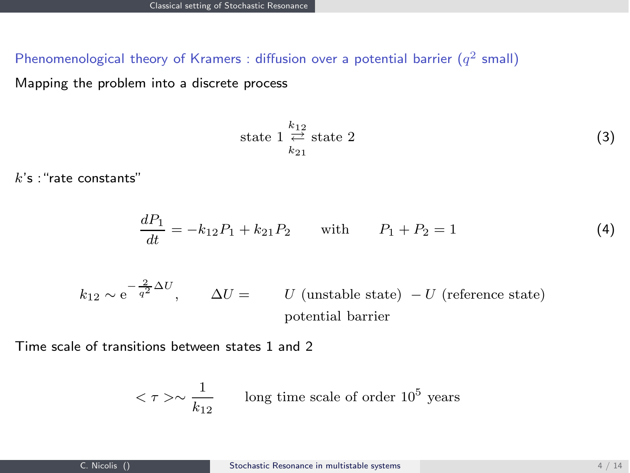Phenomenological theory of Kramers : diffusion over a potential barrier  $(q^2 \text{ small})$ 

Mapping the problem into a discrete process

state 
$$
1 \underset{k_{21}}{\overset{k_{12}}{\rightleftharpoons}}
$$
 state 2 (3)

 $k$ 's : "rate constants"

$$
\frac{dP_1}{dt} = -k_{12}P_1 + k_{21}P_2 \quad \text{with} \quad P_1 + P_2 = 1 \tag{4}
$$

$$
k_{12} \sim e^{-\frac{2}{q^2}\Delta U}
$$
,  $\Delta U = U$  (unstable state)  $-U$  (reference state)  
potential barrier

Time scale of transitions between states 1 and 2

$$
\langle \tau \rangle \sim \frac{1}{k_{12}} \qquad \text{long time scale of order } 10^5 \text{ years}
$$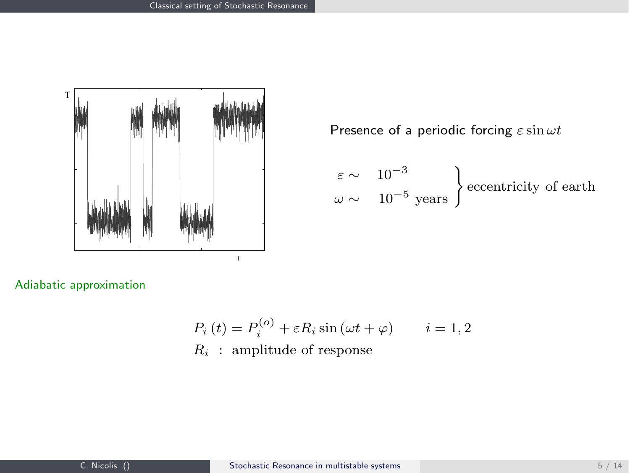

Presence of a periodic forcing  $\varepsilon \sin \omega t$ 

$$
\begin{array}{l}\n\varepsilon \sim \quad 10^{-3} \\
\omega \sim \quad 10^{-5} \text{ years}\n\end{array}
$$
   
eccentricity of earth

Adiabatic approximation

$$
P_i(t) = P_i^{(o)} + \varepsilon R_i \sin(\omega t + \varphi) \qquad i = 1, 2
$$
  

$$
R_i : amplitude of response
$$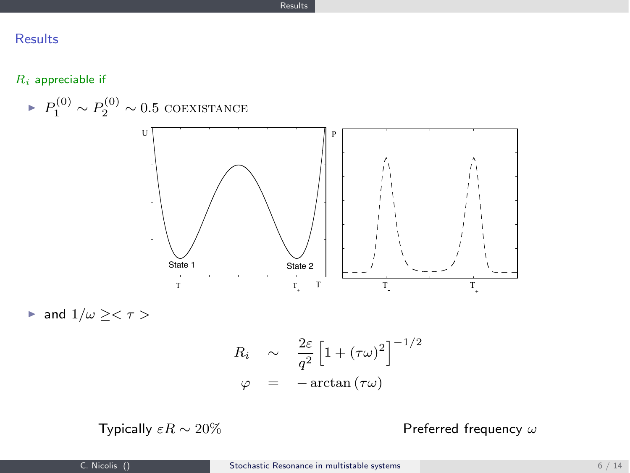## Results

 $R_i$  appreciable if



$$
\varphi = -\arctan{(\tau \omega)}
$$

Typically  $\varepsilon R \sim 20\%$  Preferred frequency  $\omega$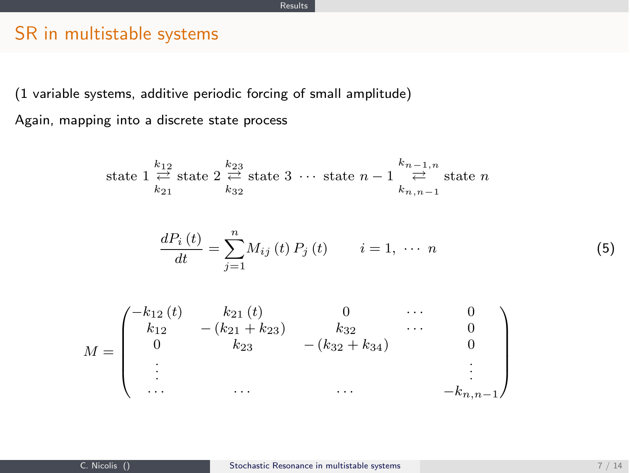# SR in multistable systems

(1 variable systems, additive periodic forcing of small amplitude) Again, mapping into a discrete state process

state 
$$
1 \underset{k_{21}}{\overset{k_{12}}{\rightleftharpoons}}
$$
 state  $2 \underset{k_{32}}{\overset{k_{23}}{\rightleftharpoons}}$  state  $3 \cdots$  state  $n-1 \underset{k_{n,n-1}}{\overset{k_{n-1,n}}{\rightleftharpoons}}$  state  $n$ 

$$
\frac{dP_i(t)}{dt} = \sum_{j=1}^{n} M_{ij}(t) P_j(t) \qquad i = 1, \cdots n
$$
\n(5)

$$
M = \begin{pmatrix} -k_{12}(t) & k_{21}(t) & 0 & \cdots & 0 \\ k_{12} & -(k_{21} + k_{23}) & k_{32} & \cdots & 0 \\ 0 & k_{23} & -(k_{32} + k_{34}) & 0 \\ \vdots & \vdots & \ddots & \vdots \\ \cdots & \cdots & \cdots & \cdots & -k_{n,n-1} \end{pmatrix}
$$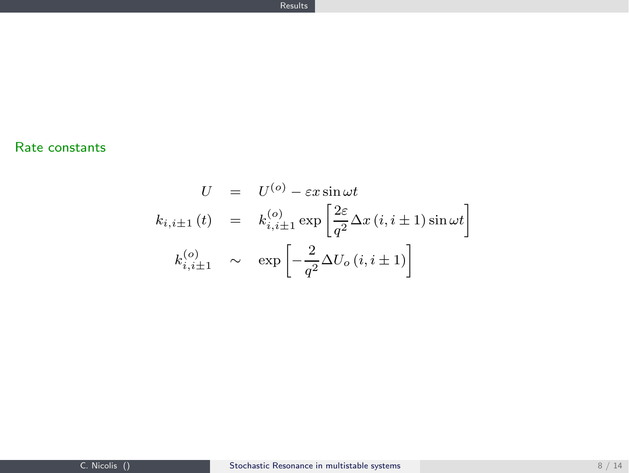## Rate constants

$$
U = U^{(o)} - \varepsilon x \sin \omega t
$$
  
\n
$$
k_{i,i\pm 1}(t) = k_{i,i\pm 1}^{(o)} \exp\left[\frac{2\varepsilon}{q^2} \Delta x (i, i \pm 1) \sin \omega t\right]
$$
  
\n
$$
k_{i,i\pm 1}^{(o)} \sim \exp\left[-\frac{2}{q^2} \Delta U_o (i, i \pm 1)\right]
$$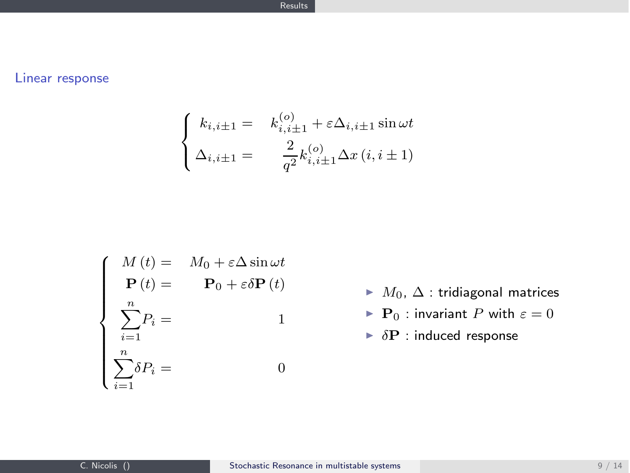### Linear response

$$
\begin{cases}\nk_{i,i\pm 1} = k_{i,i\pm 1}^{(o)} + \varepsilon \Delta_{i,i\pm 1} \sin \omega t \\
\Delta_{i,i\pm 1} = \frac{2}{q^2} k_{i,i\pm 1}^{(o)} \Delta x (i, i \pm 1)\n\end{cases}
$$

$$
\begin{cases}\nM(t) = M_0 + \varepsilon \Delta \sin \omega t \\
\mathbf{P}(t) = \mathbf{P}_0 + \varepsilon \delta \mathbf{P}(t) \\
\sum_{i=1}^{n} P_i = 1 \\
\sum_{i=1}^{n} \delta P_i = 0\n\end{cases}
$$

- $M_0, \Delta$  : tridiagonal matrices
- $\blacktriangleright$  **P**<sub>0</sub> : invariant *P* with  $\varepsilon = 0$
- $\triangleright$   $\delta$ **P** : induced response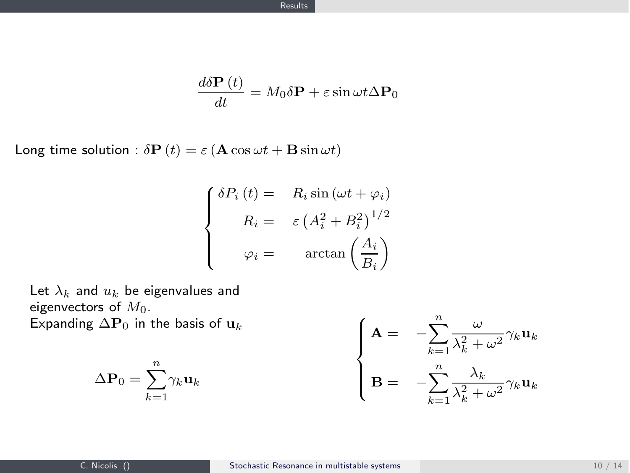$$
\frac{d\delta \mathbf{P}(t)}{dt} = M_0 \delta \mathbf{P} + \varepsilon \sin \omega t \Delta \mathbf{P}_0
$$

Long time solution :  $\delta \mathbf{P}(t) = \varepsilon (\mathbf{A} \cos \omega t + \mathbf{B} \sin \omega t)$ 

diam<sup>1</sup>

$$
\begin{cases}\n\delta P_i(t) = R_i \sin(\omega t + \varphi_i) \\
R_i = \varepsilon (A_i^2 + B_i^2)^{1/2} \\
\varphi_i = \arctan\left(\frac{A_i}{B_i}\right)\n\end{cases}
$$

Let  $\lambda_k$  and  $u_k$  be eigenvalues and eigenvectors of  $M_0$ . Expanding  $\Delta P_0$  in the basis of  $u_k$ 

 $\Delta P_0 = \sum^n$ 

 $k=1$  $\gamma_k$ u<sub>k</sub>

$$
\begin{cases}\n\mathbf{A} = -\sum_{k=1}^{n} \frac{\omega}{\lambda_k^2 + \omega^2} \gamma_k \mathbf{u}_k \\
\mathbf{B} = -\sum_{k=1}^{n} \frac{\lambda_k}{\lambda_k^2 + \omega^2} \gamma_k \mathbf{u}_k\n\end{cases}
$$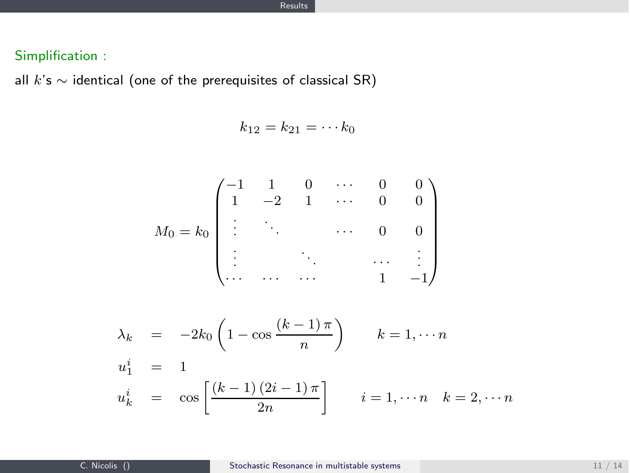### Simplification :

all  $k$ 's  $\sim$  identical (one of the prerequisites of classical SR)

$$
k_{12}=k_{21}=\cdots k_0
$$

$$
M_0 = k_0 \begin{pmatrix} -1 & 1 & 0 & \cdots & 0 & 0 \\ 1 & -2 & 1 & \cdots & 0 & 0 \\ \vdots & \ddots & \ddots & \ddots & 0 & 0 \\ \vdots & \ddots & \ddots & \ddots & \vdots \\ \vdots & \ddots & \ddots & 1 & -1 \end{pmatrix}
$$

$$
\lambda_k = -2k_0 \left( 1 - \cos \frac{(k-1)\pi}{n} \right) \qquad k = 1, \dots n
$$
  
\n
$$
u_1^i = 1
$$
  
\n
$$
u_k^i = \cos \left[ \frac{(k-1)(2i-1)\pi}{2n} \right] \qquad i = 1, \dots n \quad k = 2, \dots n
$$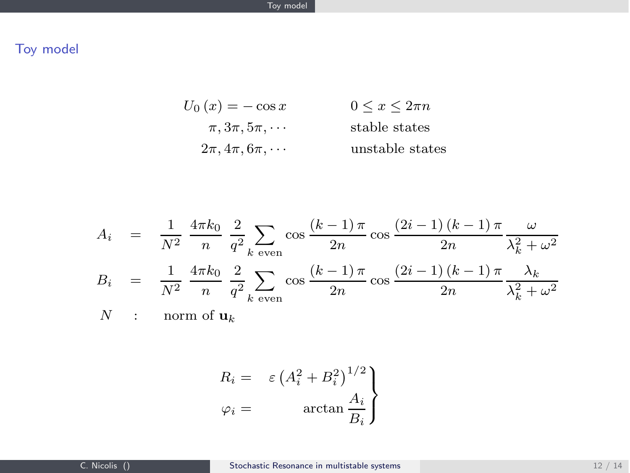## Toy model

$$
U_0(x) = -\cos x \qquad \qquad 0 \le x \le 2\pi n
$$
  

$$
\pi, 3\pi, 5\pi, \cdots \qquad \qquad \text{stable states}
$$
  

$$
2\pi, 4\pi, 6\pi, \cdots \qquad \qquad \text{unstable states}
$$

$$
A_i = \frac{1}{N^2} \frac{4\pi k_0}{n} \frac{2}{q^2} \sum_{k \text{ even}} \cos \frac{(k-1)\pi}{2n} \cos \frac{(2i-1)(k-1)\pi}{2n} \frac{\omega}{\lambda_k^2 + \omega^2}
$$
  

$$
B_i = \frac{1}{N^2} \frac{4\pi k_0}{n} \frac{2}{q^2} \sum_{k \text{ even}} \cos \frac{(k-1)\pi}{2n} \cos \frac{(2i-1)(k-1)\pi}{2n} \frac{\lambda_k}{\lambda_k^2 + \omega^2}
$$

 $N$  : norm of  $\mathbf{u}_k$ 

$$
R_i = \varepsilon (A_i^2 + B_i^2)^{1/2}
$$
  

$$
\varphi_i = \arctan \frac{A_i}{B_i}
$$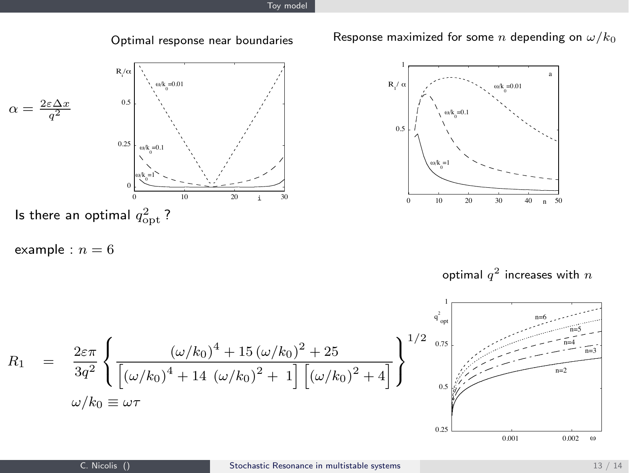



example :  $n = 6$